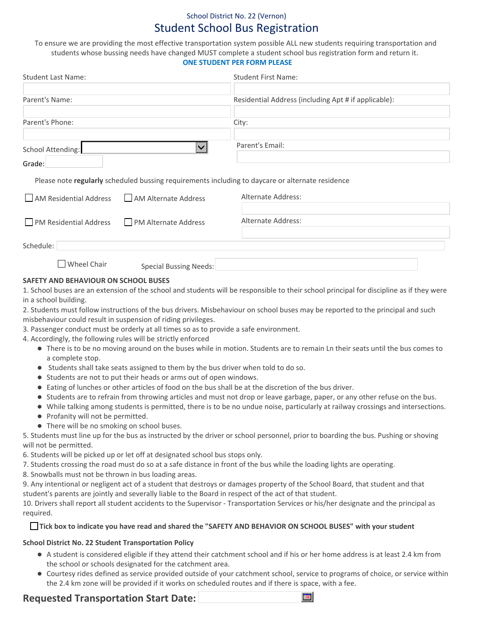# School District No. 22 (Vernon) Student School Bus Registration

To ensure we are providing the most effective transportation system possible ALL new students requiring transportation and students whose bussing needs have changed MUST complete a student school bus registration form and return it. **ONE STUDENT PER FORM PLEASE**

| <b>Student First Name:</b>                           |  |  |
|------------------------------------------------------|--|--|
|                                                      |  |  |
| Residential Address (including Apt # if applicable): |  |  |
| City:                                                |  |  |
| Parent's Email:                                      |  |  |
|                                                      |  |  |

Please note **regularly** scheduled bussing requirements including to daycare or alternate residence

| AM Residential Address AM Alternate Address        |                        | Alternate Address: |
|----------------------------------------------------|------------------------|--------------------|
| <b>PM Residential Address</b> PM Alternate Address |                        | Alternate Address: |
| Schedule:                                          |                        |                    |
| Wheel Chair                                        | Special Bussing Needs: |                    |

### **SAFETY AND BEHAVIOUR ON SCHOOL BUSES**

1. School buses are an extension of the school and students will be responsible to their school principal for discipline as if they were in a school building.

2. Students must follow instructions of the bus drivers. Misbehaviour on school buses may be reported to the principal and such misbehaviour could result in suspension of riding privileges.

3. Passenger conduct must be orderly at all times so as to provide a safe environment.

4. Accordingly, the following rules will be strictly enforced

- There is to be no moving around on the buses while in motion. Students are to remain Ln their seats until the bus comes to a complete stop.
- $\bullet$  Students shall take seats assigned to them by the bus driver when told to do so.
- Students are not to put their heads or arms out of open windows.
- Eating of lunches or other articles of food on the bus shall be at the discretion of the bus driver.
- Students are to refrain from throwing articles and must not drop or leave garbage, paper, or any other refuse on the bus.
- While talking among students is permitted, there is to be no undue noise, particularly at railway crossings and intersections.
- Profanity will not be permitted.
- There will be no smoking on school buses.

5. Students must line up for the bus as instructed by the driver or school personnel, prior to boarding the bus. Pushing or shoving will not be permitted.

6. Students will be picked up or let off at designated school bus stops only.

7. Students crossing the road must do so at a safe distance in front of the bus while the loading lights are operating.

8. Snowballs must not be thrown in bus loading areas.

9. Any intentional or negligent act of a student that destroys or damages property of the School Board, that student and that student's parents are jointly and severally liable to the Board in respect of the act of that student.

10. Drivers shall report all student accidents to the Supervisor Transportation Services or his/her designate and the principal as required.

#### **Tick box to indicate you have read and shared the "SAFETY AND BEHAVIOR ON SCHOOL BUSES" with your student**

#### **School District No. 22 Student Transportation Policy**

- A student is considered eligible if they attend their catchment school and if his or her home address is at least 2.4 km from the school or schools designated for the catchment area.
- Courtesy rides defined as service provided outside of your catchment school, service to programs of choice, or service within the 2.4 km zone will be provided if it works on scheduled routes and if there is space, with a fee.

 $\blacksquare$ 

## **Requested Transportation Start Date:**